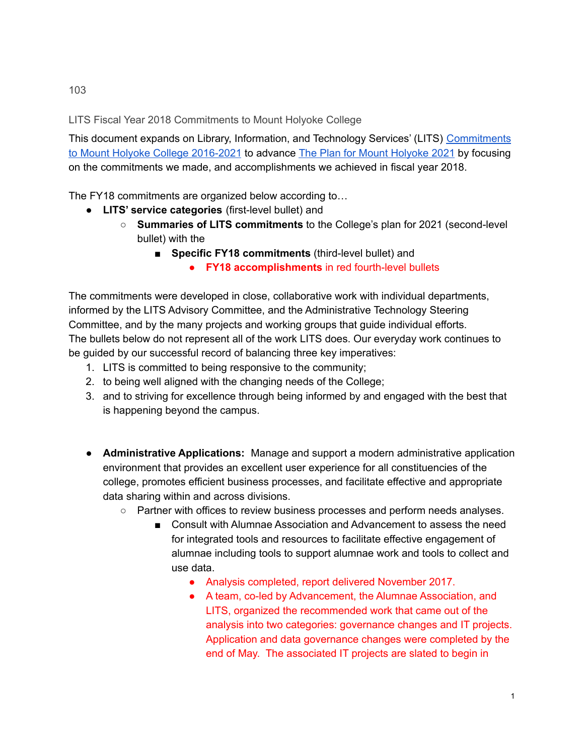LITS Fiscal Year 2018 Commitments to Mount Holyoke College

This document expands on Library, Information, and Technology Services' (LITS) [Commitments](https://www.mtholyoke.edu/sites/default/files/lits/docs/LITSCommitmentstoMHC2016-2021.pdf) to Mount Holyoke College [2016-2021](https://www.mtholyoke.edu/sites/default/files/lits/docs/LITSCommitmentstoMHC2016-2021.pdf) to advance The Plan for Mount [Holyoke](https://www.mtholyoke.edu/iplanning/strategic-plan-summary) 2021 by focusing on the commitments we made, and accomplishments we achieved in fiscal year 2018.

The FY18 commitments are organized below according to…

- **LITS' service categories** (first-level bullet) and
	- **Summaries of LITS commitments** to the College's plan for 2021 (second-level bullet) with the
		- **Specific FY18 commitments** (third-level bullet) and
			- **FY18 accomplishments** in red fourth-level bullets

The commitments were developed in close, collaborative work with individual departments, informed by the LITS Advisory Committee, and the Administrative Technology Steering Committee, and by the many projects and working groups that guide individual efforts. The bullets below do not represent all of the work LITS does. Our everyday work continues to be guided by our successful record of balancing three key imperatives:

- 1. LITS is committed to being responsive to the community;
- 2. to being well aligned with the changing needs of the College;
- 3. and to striving for excellence through being informed by and engaged with the best that is happening beyond the campus.
- **Administrative Applications:** Manage and support a modern administrative application environment that provides an excellent user experience for all constituencies of the college, promotes efficient business processes, and facilitate effective and appropriate data sharing within and across divisions.
	- Partner with offices to review business processes and perform needs analyses.
		- Consult with Alumnae Association and Advancement to assess the need for integrated tools and resources to facilitate effective engagement of alumnae including tools to support alumnae work and tools to collect and use data.
			- Analysis completed, report delivered November 2017.
			- A team, co-led by Advancement, the Alumnae Association, and LITS, organized the recommended work that came out of the analysis into two categories: governance changes and IT projects. Application and data governance changes were completed by the end of May. The associated IT projects are slated to begin in

103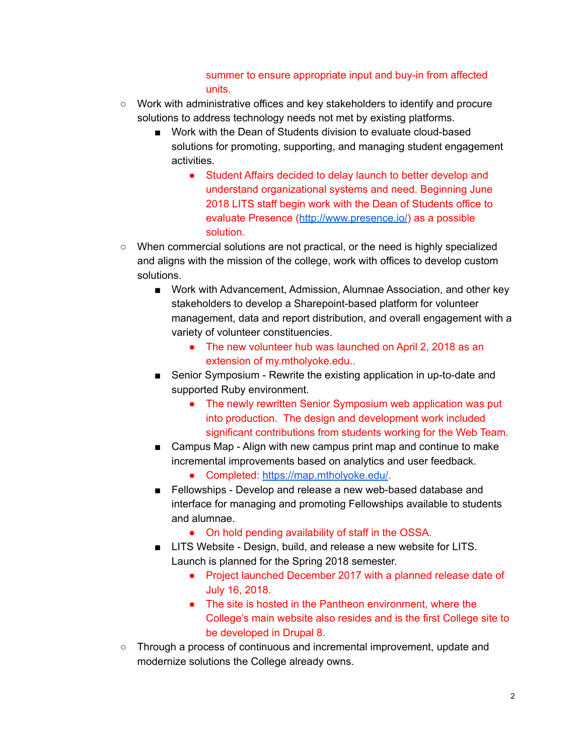## summer to ensure appropriate input and buy-in from affected units.

- Work with administrative offices and key stakeholders to identify and procure solutions to address technology needs not met by existing platforms.
	- Work with the Dean of Students division to evaluate cloud-based solutions for promoting, supporting, and managing student engagement activities.
		- Student Affairs decided to delay launch to better develop and understand organizational systems and need. Beginning June 2018 LITS staff begin work with the Dean of Students office to evaluate Presence (<http://www.presence.io/>) as a possible solution.
- When commercial solutions are not practical, or the need is highly specialized and aligns with the mission of the college, work with offices to develop custom solutions.
	- Work with Advancement, Admission, Alumnae Association, and other key stakeholders to develop a Sharepoint-based platform for volunteer management, data and report distribution, and overall engagement with a variety of volunteer constituencies.
		- The new volunteer hub was launched on April 2, 2018 as an extension of my.mtholyoke.edu..
	- Senior Symposium Rewrite the existing application in up-to-date and supported Ruby environment.
		- The newly rewritten Senior Symposium web application was put into production. The design and development work included significant contributions from students working for the Web Team.
	- Campus Map Align with new campus print map and continue to make incremental improvements based on analytics and user feedback.
		- Completed: <https://map.mtholyoke.edu/>.
	- Fellowships Develop and release a new web-based database and interface for managing and promoting Fellowships available to students and alumnae.
		- On hold pending availability of staff in the OSSA.
	- LITS Website Design, build, and release a new website for LITS. Launch is planned for the Spring 2018 semester.
		- Project launched December 2017 with a planned release date of July 16, 2018.
		- The site is hosted in the Pantheon environment, where the College's main website also resides and is the first College site to be developed in Drupal 8.
- Through a process of continuous and incremental improvement, update and modernize solutions the College already owns.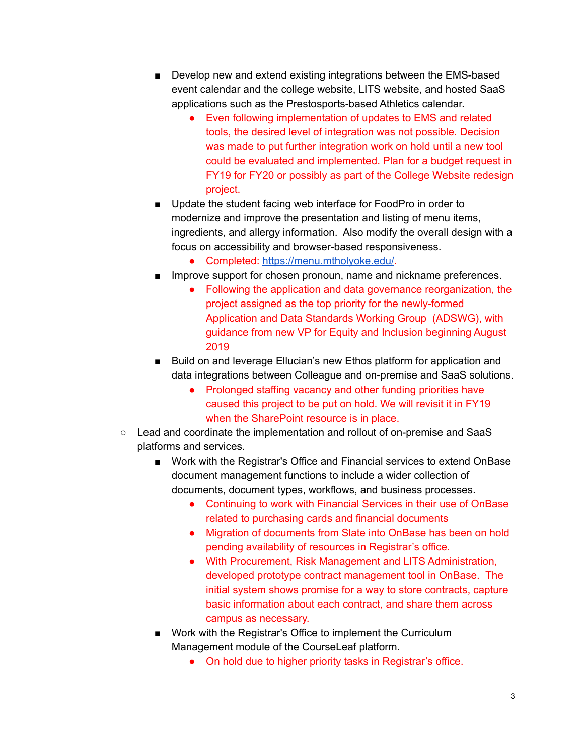- Develop new and extend existing integrations between the EMS-based event calendar and the college website, LITS website, and hosted SaaS applications such as the Prestosports-based Athletics calendar.
	- Even following implementation of updates to EMS and related tools, the desired level of integration was not possible. Decision was made to put further integration work on hold until a new tool could be evaluated and implemented. Plan for a budget request in FY19 for FY20 or possibly as part of the College Website redesign project.
- Update the student facing web interface for FoodPro in order to modernize and improve the presentation and listing of menu items, ingredients, and allergy information. Also modify the overall design with a focus on accessibility and browser-based responsiveness.
	- Completed: <https://menu.mtholyoke.edu/>.
- Improve support for chosen pronoun, name and nickname preferences.
	- Following the application and data governance reorganization, the project assigned as the top priority for the newly-formed Application and Data Standards Working Group (ADSWG), with guidance from new VP for Equity and Inclusion beginning August 2019
- Build on and leverage Ellucian's new Ethos platform for application and data integrations between Colleague and on-premise and SaaS solutions.
	- Prolonged staffing vacancy and other funding priorities have caused this project to be put on hold. We will revisit it in FY19 when the SharePoint resource is in place.
- Lead and coordinate the implementation and rollout of on-premise and SaaS platforms and services.
	- Work with the Registrar's Office and Financial services to extend OnBase document management functions to include a wider collection of documents, document types, workflows, and business processes.
		- Continuing to work with Financial Services in their use of OnBase related to purchasing cards and financial documents
		- Migration of documents from Slate into OnBase has been on hold pending availability of resources in Registrar's office.
		- With Procurement, Risk Management and LITS Administration, developed prototype contract management tool in OnBase. The initial system shows promise for a way to store contracts, capture basic information about each contract, and share them across campus as necessary.
	- Work with the Registrar's Office to implement the Curriculum Management module of the CourseLeaf platform.
		- On hold due to higher priority tasks in Registrar's office.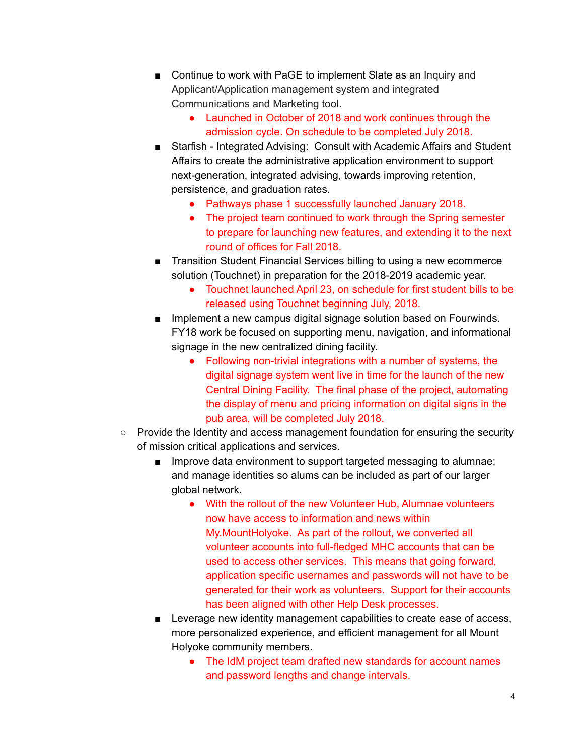- Continue to work with PaGE to implement Slate as an Inquiry and Applicant/Application management system and integrated Communications and Marketing tool.
	- Launched in October of 2018 and work continues through the admission cycle. On schedule to be completed July 2018.
- Starfish Integrated Advising: Consult with Academic Affairs and Student Affairs to create the administrative application environment to support next-generation, integrated advising, towards improving retention, persistence, and graduation rates.
	- Pathways phase 1 successfully launched January 2018.
	- The project team continued to work through the Spring semester to prepare for launching new features, and extending it to the next round of offices for Fall 2018.
- Transition Student Financial Services billing to using a new ecommerce solution (Touchnet) in preparation for the 2018-2019 academic year.
	- Touchnet launched April 23, on schedule for first student bills to be released using Touchnet beginning July, 2018.
- Implement a new campus digital signage solution based on Fourwinds. FY18 work be focused on supporting menu, navigation, and informational signage in the new centralized dining facility.
	- Following non-trivial integrations with a number of systems, the digital signage system went live in time for the launch of the new Central Dining Facility. The final phase of the project, automating the display of menu and pricing information on digital signs in the pub area, will be completed July 2018.
- Provide the Identity and access management foundation for ensuring the security of mission critical applications and services.
	- Improve data environment to support targeted messaging to alumnae; and manage identities so alums can be included as part of our larger global network.
		- With the rollout of the new Volunteer Hub, Alumnae volunteers now have access to information and news within My.MountHolyoke. As part of the rollout, we converted all volunteer accounts into full-fledged MHC accounts that can be used to access other services. This means that going forward, application specific usernames and passwords will not have to be generated for their work as volunteers. Support for their accounts has been aligned with other Help Desk processes.
	- Leverage new identity management capabilities to create ease of access, more personalized experience, and efficient management for all Mount Holyoke community members.
		- The IdM project team drafted new standards for account names and password lengths and change intervals.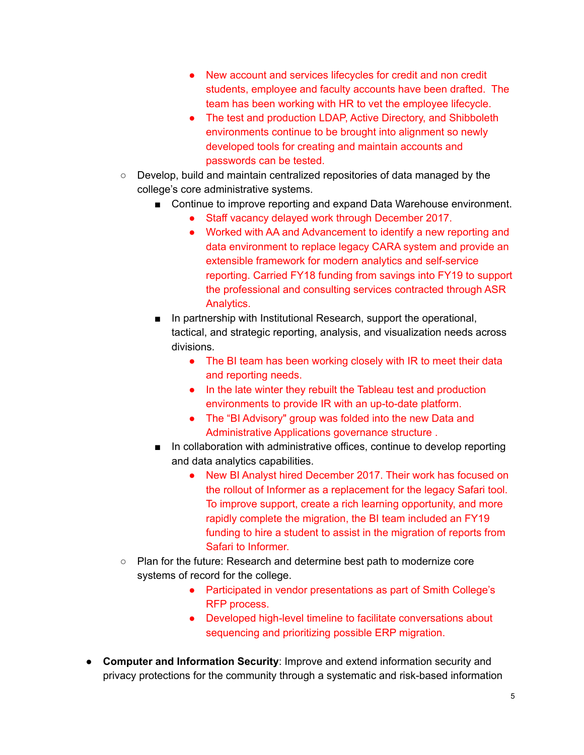- New account and services lifecycles for credit and non credit students, employee and faculty accounts have been drafted. The team has been working with HR to vet the employee lifecycle.
- The test and production LDAP, Active Directory, and Shibboleth environments continue to be brought into alignment so newly developed tools for creating and maintain accounts and passwords can be tested.
- Develop, build and maintain centralized repositories of data managed by the college's core administrative systems.
	- Continue to improve reporting and expand Data Warehouse environment.
		- Staff vacancy delayed work through December 2017.
		- Worked with AA and Advancement to identify a new reporting and data environment to replace legacy CARA system and provide an extensible framework for modern analytics and self-service reporting. Carried FY18 funding from savings into FY19 to support the professional and consulting services contracted through ASR Analytics.
	- In partnership with Institutional Research, support the operational, tactical, and strategic reporting, analysis, and visualization needs across divisions.
		- The BI team has been working closely with IR to meet their data and reporting needs.
		- In the late winter they rebuilt the Tableau test and production environments to provide IR with an up-to-date platform.
		- The "BI Advisory" group was folded into the new Data and Administrative Applications governance structure .
	- In collaboration with administrative offices, continue to develop reporting and data analytics capabilities.
		- New BI Analyst hired December 2017. Their work has focused on the rollout of Informer as a replacement for the legacy Safari tool. To improve support, create a rich learning opportunity, and more rapidly complete the migration, the BI team included an FY19 funding to hire a student to assist in the migration of reports from Safari to Informer.
- Plan for the future: Research and determine best path to modernize core systems of record for the college.
	- Participated in vendor presentations as part of Smith College's RFP process.
	- Developed high-level timeline to facilitate conversations about sequencing and prioritizing possible ERP migration.
- **Computer and Information Security**: Improve and extend information security and privacy protections for the community through a systematic and risk-based information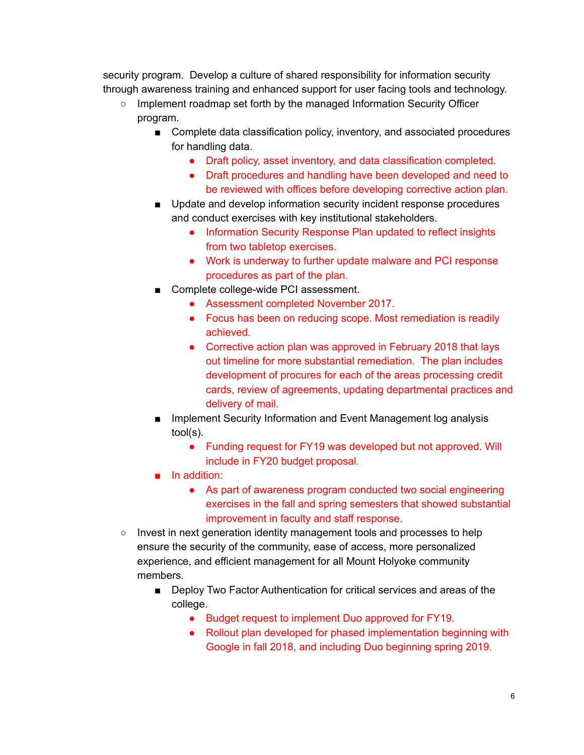security program. Develop a culture of shared responsibility for information security through awareness training and enhanced support for user facing tools and technology.

- Implement roadmap set forth by the managed Information Security Officer program.
	- Complete data classification policy, inventory, and associated procedures for handling data.
		- Draft policy, asset inventory, and data classification completed.
		- Draft procedures and handling have been developed and need to be reviewed with offices before developing corrective action plan.
	- Update and develop information security incident response procedures and conduct exercises with key institutional stakeholders.
		- Information Security Response Plan updated to reflect insights from two tabletop exercises.
		- Work is underway to further update malware and PCI response procedures as part of the plan.
	- Complete college-wide PCI assessment.
		- Assessment completed November 2017.
		- Focus has been on reducing scope. Most remediation is readily achieved.
		- Corrective action plan was approved in February 2018 that lays out timeline for more substantial remediation. The plan includes development of procures for each of the areas processing credit cards, review of agreements, updating departmental practices and delivery of mail.
	- Implement Security Information and Event Management log analysis tool(s).
		- Funding request for FY19 was developed but not approved. Will include in FY20 budget proposal.
	- In addition:
		- As part of awareness program conducted two social engineering exercises in the fall and spring semesters that showed substantial improvement in faculty and staff response.
- Invest in next generation identity management tools and processes to help ensure the security of the community, ease of access, more personalized experience, and efficient management for all Mount Holyoke community members.
	- Deploy Two Factor Authentication for critical services and areas of the college.
		- Budget request to implement Duo approved for FY19.
		- Rollout plan developed for phased implementation beginning with Google in fall 2018, and including Duo beginning spring 2019.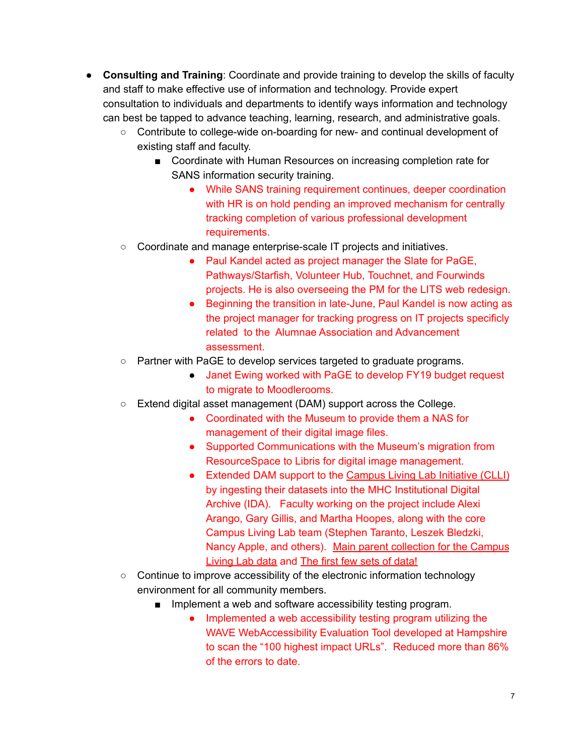- **Consulting and Training**: Coordinate and provide training to develop the skills of faculty and staff to make effective use of information and technology. Provide expert consultation to individuals and departments to identify ways information and technology can best be tapped to advance teaching, learning, research, and administrative goals.
	- Contribute to college-wide on-boarding for new- and continual development of existing staff and faculty.
		- Coordinate with Human Resources on increasing completion rate for SANS information security training.
			- While SANS training requirement continues, deeper coordination with HR is on hold pending an improved mechanism for centrally tracking completion of various professional development requirements.
	- Coordinate and manage enterprise-scale IT projects and initiatives.
		- Paul Kandel acted as project manager the Slate for PaGE, Pathways/Starfish, Volunteer Hub, Touchnet, and Fourwinds projects. He is also overseeing the PM for the LITS web redesign.
		- Beginning the transition in late-June, Paul Kandel is now acting as the project manager for tracking progress on IT projects specificly related to the Alumnae Association and Advancement assessment.
	- Partner with PaGE to develop services targeted to graduate programs.
		- Janet Ewing worked with PaGE to develop FY19 budget request to migrate to Moodlerooms.
	- Extend digital asset management (DAM) support across the College.
		- Coordinated with the Museum to provide them a NAS for management of their digital image files.
		- Supported Communications with the Museum's migration from ResourceSpace to Libris for digital image management.
		- Extended DAM support to the [Campus](https://www.mtholyoke.edu/sustainability/campus-living-laboratory-initiative) Living Lab Initiative (CLLI) by ingesting their datasets into the MHC Institutional Digital Archive (IDA). Faculty working on the project include Alexi Arango, Gary Gillis, and Martha Hoopes, along with the core Campus Living Lab team (Stephen Taranto, Leszek Bledzki, Nancy Apple, and others). Main parent [collection](https://ida.mtholyoke.edu/xmlui/handle/10166/4301) for the Campus [Living](https://ida.mtholyoke.edu/xmlui/handle/10166/4301) Lab data and The first few sets of [data!](https://ida.mtholyoke.edu/xmlui/handle/10166/4308)
	- Continue to improve accessibility of the electronic information technology environment for all community members.
		- Implement a web and software accessibility testing program.
			- Implemented a web accessibility testing program utilizing the WAVE WebAccessibility Evaluation Tool developed at Hampshire to scan the "100 highest impact URLs". Reduced more than 86% of the errors to date.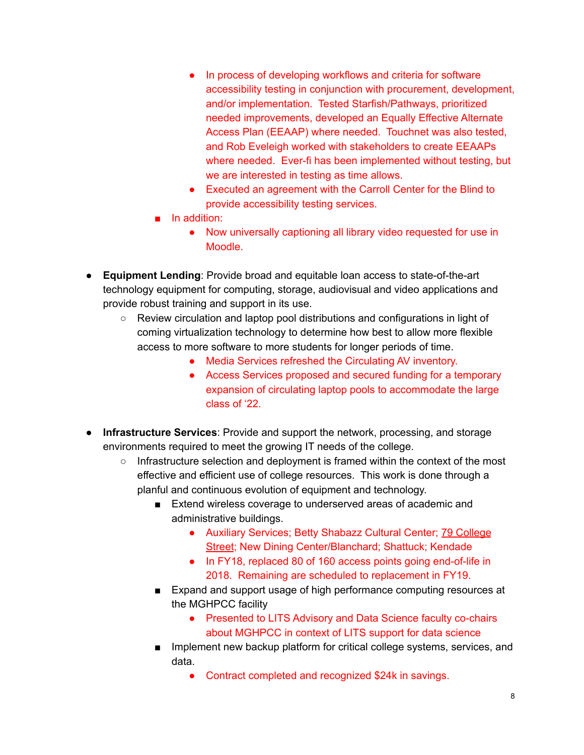- In process of developing workflows and criteria for software accessibility testing in conjunction with procurement, development, and/or implementation. Tested Starfish/Pathways, prioritized needed improvements, developed an Equally Effective Alternate Access Plan (EEAAP) where needed. Touchnet was also tested, and Rob Eveleigh worked with stakeholders to create EEAAPs where needed. Ever-fi has been implemented without testing, but we are interested in testing as time allows.
- Executed an agreement with the Carroll Center for the Blind to provide accessibility testing services.
- In addition:
	- Now universally captioning all library video requested for use in Moodle.
- **Equipment Lending**: Provide broad and equitable loan access to state-of-the-art technology equipment for computing, storage, audiovisual and video applications and provide robust training and support in its use.
	- Review circulation and laptop pool distributions and configurations in light of coming virtualization technology to determine how best to allow more flexible access to more software to more students for longer periods of time.
		- Media Services refreshed the Circulating AV inventory.
		- Access Services proposed and secured funding for a temporary expansion of circulating laptop pools to accommodate the large class of '22.
- **Infrastructure Services**: Provide and support the network, processing, and storage environments required to meet the growing IT needs of the college.
	- Infrastructure selection and deployment is framed within the context of the most effective and efficient use of college resources. This work is done through a planful and continuous evolution of equipment and technology.
		- Extend wireless coverage to underserved areas of academic and administrative buildings.
			- Auxiliary Services; Betty Shabazz Cultural Center; 79 [College](https://maps.google.com/?q=79+College+Street&entry=gmail&source=g) [Street](https://maps.google.com/?q=79+College+Street&entry=gmail&source=g); New Dining Center/Blanchard; Shattuck; Kendade
			- In FY18, replaced 80 of 160 access points going end-of-life in 2018. Remaining are scheduled to replacement in FY19.
		- Expand and support usage of high performance computing resources at the MGHPCC facility
			- Presented to LITS Advisory and Data Science faculty co-chairs about MGHPCC in context of LITS support for data science
		- Implement new backup platform for critical college systems, services, and data.
			- Contract completed and recognized \$24k in savings.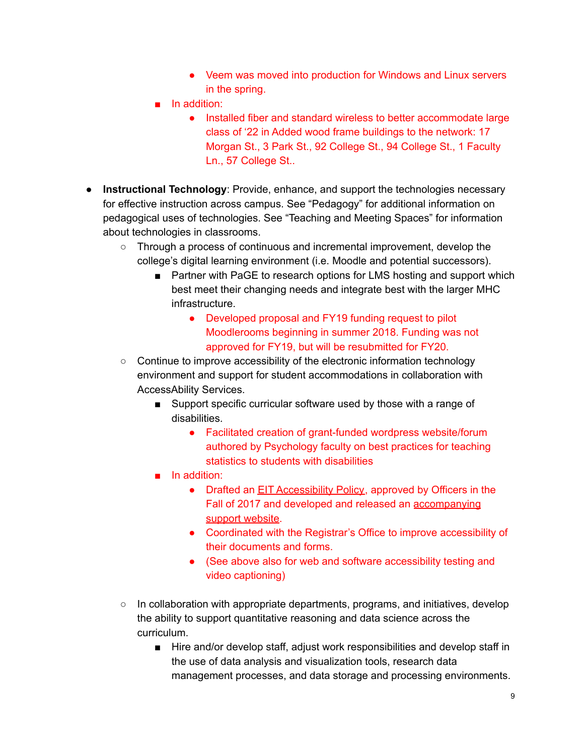- Veem was moved into production for Windows and Linux servers in the spring.
- In addition:
	- Installed fiber and standard wireless to better accommodate large class of '22 in Added wood frame buildings to the network: 17 Morgan St., 3 Park St., 92 College St., 94 College St., 1 Faculty Ln., 57 College St..
- **Instructional Technology**: Provide, enhance, and support the technologies necessary for effective instruction across campus. See "Pedagogy" for additional information on pedagogical uses of technologies. See "Teaching and Meeting Spaces" for information about technologies in classrooms.
	- Through a process of continuous and incremental improvement, develop the college's digital learning environment (i.e. Moodle and potential successors).
		- Partner with PaGE to research options for LMS hosting and support which best meet their changing needs and integrate best with the larger MHC infrastructure.
			- Developed proposal and FY19 funding request to pilot Moodlerooms beginning in summer 2018. Funding was not approved for FY19, but will be resubmitted for FY20.
	- Continue to improve accessibility of the electronic information technology environment and support for student accommodations in collaboration with AccessAbility Services.
		- Support specific curricular software used by those with a range of disabilities.
			- Facilitated creation of grant-funded wordpress website/forum authored by Psychology faculty on best practices for teaching statistics to students with disabilities
		- In addition:
			- Drafted an EIT [Accessibility](https://www.mtholyoke.edu/lits/electronic-and-information-technology-accessibility-policy) Policy, approved by Officers in the Fall of 2017 and developed and released an [accompanying](http://guides.mtholyoke.edu/eit-accessibility-standards) support [website.](http://guides.mtholyoke.edu/eit-accessibility-standards)
			- Coordinated with the Registrar's Office to improve accessibility of their documents and forms.
			- (See above also for web and software accessibility testing and video captioning)
	- $\circ$  In collaboration with appropriate departments, programs, and initiatives, develop the ability to support quantitative reasoning and data science across the curriculum.
		- Hire and/or develop staff, adjust work responsibilities and develop staff in the use of data analysis and visualization tools, research data management processes, and data storage and processing environments.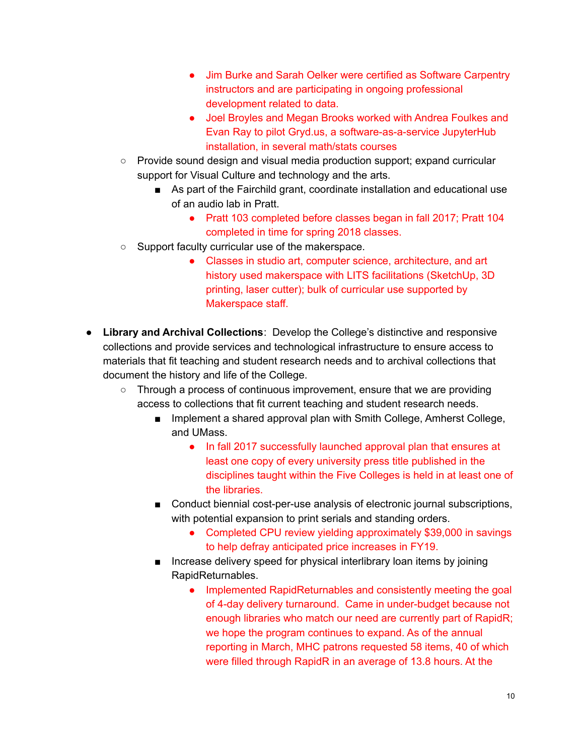- Jim Burke and Sarah Oelker were certified as Software Carpentry instructors and are participating in ongoing professional development related to data.
- Joel Broyles and Megan Brooks worked with Andrea Foulkes and Evan Ray to pilot Gryd.us, a software-as-a-service JupyterHub installation, in several math/stats courses
- Provide sound design and visual media production support; expand curricular support for Visual Culture and technology and the arts.
	- As part of the Fairchild grant, coordinate installation and educational use of an audio lab in Pratt.
		- Pratt 103 completed before classes began in fall 2017; Pratt 104 completed in time for spring 2018 classes.
- Support faculty curricular use of the makerspace.
	- Classes in studio art, computer science, architecture, and art history used makerspace with LITS facilitations (SketchUp, 3D printing, laser cutter); bulk of curricular use supported by Makerspace staff.
- **Library and Archival Collections**: Develop the College's distinctive and responsive collections and provide services and technological infrastructure to ensure access to materials that fit teaching and student research needs and to archival collections that document the history and life of the College.
	- $\circ$  Through a process of continuous improvement, ensure that we are providing access to collections that fit current teaching and student research needs.
		- Implement a shared approval plan with Smith College, Amherst College, and UMass.
			- In fall 2017 successfully launched approval plan that ensures at least one copy of every university press title published in the disciplines taught within the Five Colleges is held in at least one of the libraries.
		- Conduct biennial cost-per-use analysis of electronic journal subscriptions, with potential expansion to print serials and standing orders.
			- Completed CPU review yielding approximately \$39,000 in savings to help defray anticipated price increases in FY19.
		- Increase delivery speed for physical interlibrary loan items by joining RapidReturnables.
			- Implemented RapidReturnables and consistently meeting the goal of 4-day delivery turnaround. Came in under-budget because not enough libraries who match our need are currently part of RapidR; we hope the program continues to expand. As of the annual reporting in March, MHC patrons requested 58 items, 40 of which were filled through RapidR in an average of 13.8 hours. At the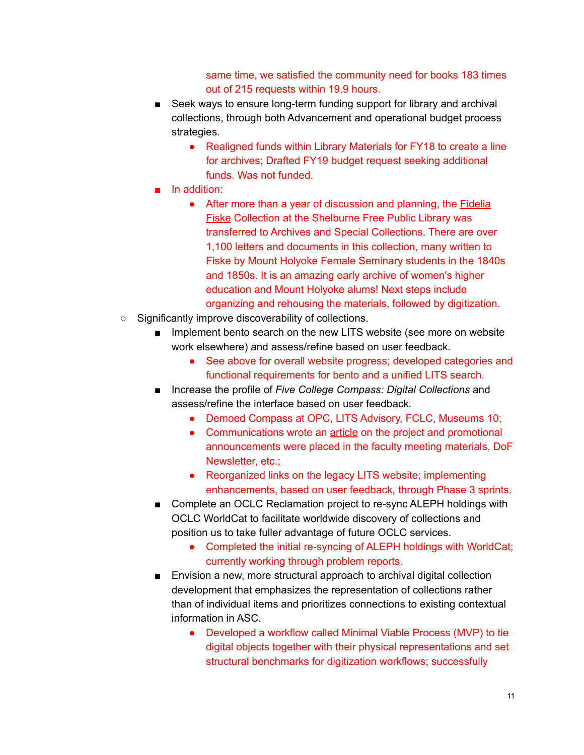same time, we satisfied the community need for books 183 times out of 215 requests within 19.9 hours.

- Seek ways to ensure long-term funding support for library and archival collections, through both Advancement and operational budget process strategies.
	- Realigned funds within Library Materials for FY18 to create a line for archives; Drafted FY19 budget request seeking additional funds. Was not funded.
- In addition:
	- After more than a year of discussion and planning, the **[Fidelia](https://www.mtholyoke.edu/175/gallery/fidelia-fiske)** [Fiske](https://www.mtholyoke.edu/175/gallery/fidelia-fiske) Collection at the Shelburne Free Public Library was transferred to Archives and Special Collections. There are over 1,100 letters and documents in this collection, many written to Fiske by Mount Holyoke Female Seminary students in the 1840s and 1850s. It is an amazing early archive of women's higher education and Mount Holyoke alums! Next steps include organizing and rehousing the materials, followed by digitization.
- Significantly improve discoverability of collections.
	- Implement bento search on the new LITS website (see more on website work elsewhere) and assess/refine based on user feedback.
		- See above for overall website progress; developed categories and functional requirements for bento and a unified LITS search.
	- Increase the profile of *Five College Compass: Digital Collections* and assess/refine the interface based on user feedback*.*
		- Demoed Compass at OPC, LITS Advisory, FCLC, Museums 10;
		- Communications wrote an [article](https://www.mtholyoke.edu/media/compass-digital-collection-launches) on the project and promotional announcements were placed in the faculty meeting materials, DoF Newsletter, etc.;
		- Reorganized links on the legacy LITS website; implementing enhancements, based on user feedback, through Phase 3 sprints.
	- Complete an OCLC Reclamation project to re-sync ALEPH holdings with OCLC WorldCat to facilitate worldwide discovery of collections and position us to take fuller advantage of future OCLC services.
		- Completed the initial re-syncing of ALEPH holdings with WorldCat; currently working through problem reports.
	- Envision a new, more structural approach to archival digital collection development that emphasizes the representation of collections rather than of individual items and prioritizes connections to existing contextual information in ASC.
		- Developed a workflow called Minimal Viable Process (MVP) to tie digital objects together with their physical representations and set structural benchmarks for digitization workflows; successfully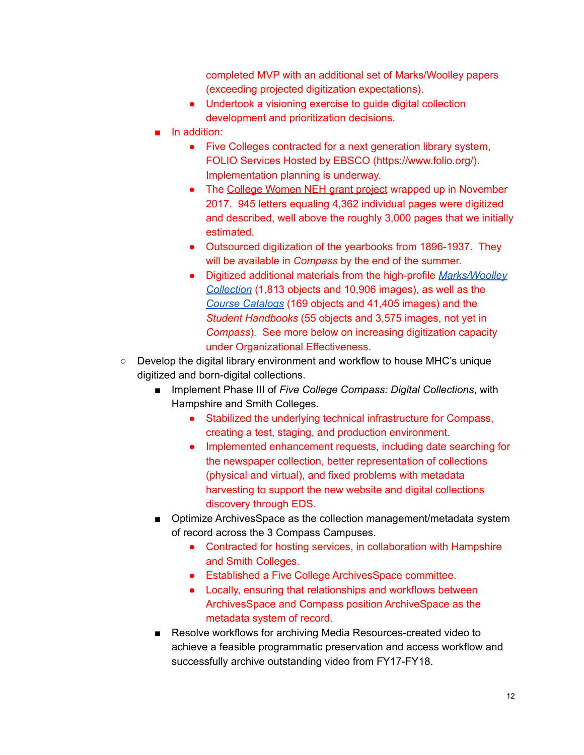completed MVP with an additional set of Marks/Woolley papers (exceeding projected digitization expectations).

- Undertook a visioning exercise to guide digital collection development and prioritization decisions.
- In addition:
	- Five Colleges contracted for a next generation library system, FOLIO Services Hosted by EBSCO (https://www.folio.org/). Implementation planning is underway.
	- The College [Women](https://www.collegewomen.org/) NEH grant project wrapped up in November 2017. 945 letters equaling 4,362 individual pages were digitized and described, well above the roughly 3,000 pages that we initially estimated.
	- Outsourced digitization of the yearbooks from 1896-1937. They will be available in *Compass* by the end of the summer.
	- Digitized additional materials from the high-profile *[Marks/Woolley](https://compass.fivecolleges.edu/collections/jeannette-marks-and-mary-woolley-correspondence) [Collection](https://compass.fivecolleges.edu/collections/jeannette-marks-and-mary-woolley-correspondence)* (1,813 objects and 10,906 images), as well as the *Course [Catalogs](https://compass.fivecolleges.edu/collections/catalogs-registers-and-directories?islandora_solr_search_navigation=0&display=masonry&f%5B0%5D=collection_membership.pid_ms%3A%22mtholyoke%5C%3Aasc%5C-%5C-rg10%22)* (169 objects and 41,405 images) and the *Student Handbooks* (55 objects and 3,575 images, not yet in *Compass*). See more below on increasing digitization capacity under Organizational Effectiveness.
- Develop the digital library environment and workflow to house MHC's unique digitized and born-digital collections.
	- **Implement Phase III of** *Five College Compass: Digital Collections***, with** Hampshire and Smith Colleges.
		- Stabilized the underlying technical infrastructure for Compass, creating a test, staging, and production environment.
		- Implemented enhancement requests, including date searching for the newspaper collection, better representation of collections (physical and virtual), and fixed problems with metadata harvesting to support the new website and digital collections discovery through EDS.
	- Optimize ArchivesSpace as the collection management/metadata system of record across the 3 Compass Campuses.
		- Contracted for hosting services, in collaboration with Hampshire and Smith Colleges.
		- Established a Five College ArchivesSpace committee.
		- Locally, ensuring that relationships and workflows between ArchivesSpace and Compass position ArchiveSpace as the metadata system of record.
	- Resolve workflows for archiving Media Resources-created video to achieve a feasible programmatic preservation and access workflow and successfully archive outstanding video from FY17-FY18.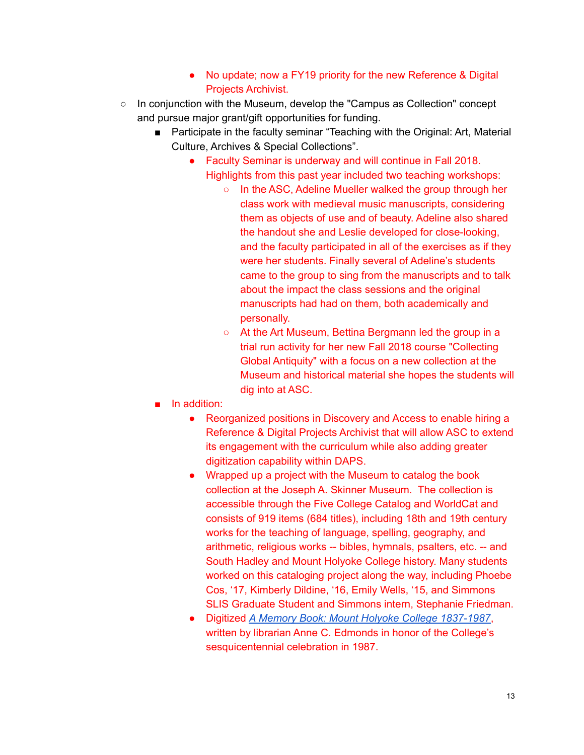- No update; now a FY19 priority for the new Reference & Digital Projects Archivist.
- In conjunction with the Museum, develop the "Campus as Collection" concept and pursue major grant/gift opportunities for funding.
	- Participate in the faculty seminar "Teaching with the Original: Art, Material Culture, Archives & Special Collections".
		- Faculty Seminar is underway and will continue in Fall 2018. Highlights from this past year included two teaching workshops:
			- In the ASC, Adeline Mueller walked the group through her class work with medieval music manuscripts, considering them as objects of use and of beauty. Adeline also shared the handout she and Leslie developed for close-looking, and the faculty participated in all of the exercises as if they were her students. Finally several of Adeline's students came to the group to sing from the manuscripts and to talk about the impact the class sessions and the original manuscripts had had on them, both academically and personally.
			- At the Art Museum, Bettina Bergmann led the group in a trial run activity for her new Fall 2018 course "Collecting Global Antiquity" with a focus on a new collection at the Museum and historical material she hopes the students will dig into at ASC.
	- In addition:
		- Reorganized positions in Discovery and Access to enable hiring a Reference & Digital Projects Archivist that will allow ASC to extend its engagement with the curriculum while also adding greater digitization capability within DAPS.
		- Wrapped up a project with the Museum to catalog the book collection at the Joseph A. Skinner Museum. The collection is accessible through the Five College Catalog and WorldCat and consists of 919 items (684 titles), including 18th and 19th century works for the teaching of language, spelling, geography, and arithmetic, religious works -- bibles, hymnals, psalters, etc. -- and South Hadley and Mount Holyoke College history. Many students worked on this cataloging project along the way, including Phoebe Cos, '17, Kimberly Dildine, '16, Emily Wells, '15, and Simmons SLIS Graduate Student and Simmons intern, Stephanie Friedman.
		- Digitized *A Memory Book: Mount Holyoke College [1837-1987](https://compass.fivecolleges.edu/object/mtholyoke:42501)*, written by librarian Anne C. Edmonds in honor of the College's sesquicentennial celebration in 1987.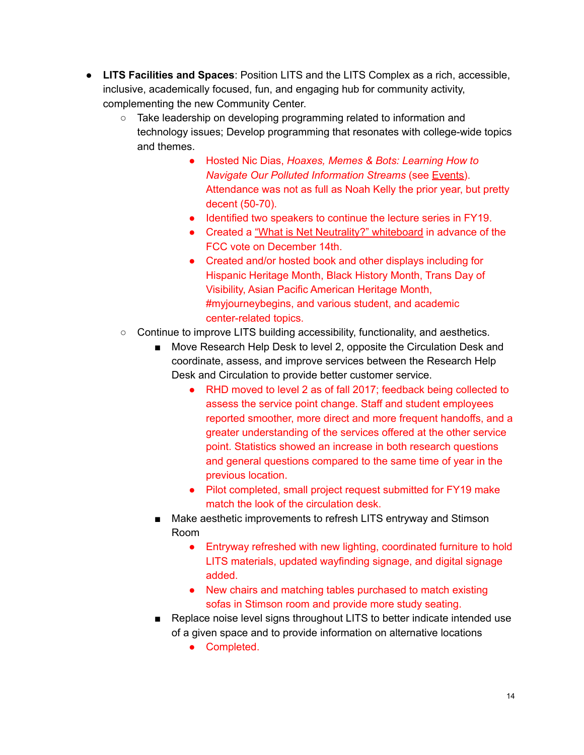- **LITS Facilities and Spaces**: Position LITS and the LITS Complex as a rich, accessible, inclusive, academically focused, fun, and engaging hub for community activity, complementing the new Community Center.
	- $\circ$  Take leadership on developing programming related to information and technology issues; Develop programming that resonates with college-wide topics and themes.
		- Hosted Nic Dias, *Hoaxes, Memes & Bots: Learning How to Navigate Our Polluted Information Streams* (see [Events\)](http://guides.mtholyoke.edu/trump/events). Attendance was not as full as Noah Kelly the prior year, but pretty decent (50-70).
		- Identified two speakers to continue the lecture series in FY19.
		- Created a "What is Net [Neutrality?"](http://libapps.s3.amazonaws.com/accounts/100993/images/net-neutrality-white-board.jpg) whiteboard in advance of the FCC vote on December 14th.
		- Created and/or hosted book and other displays including for Hispanic Heritage Month, Black History Month, Trans Day of Visibility, Asian Pacific American Heritage Month, #myjourneybegins, and various student, and academic center-related topics.
	- Continue to improve LITS building accessibility, functionality, and aesthetics.
		- Move Research Help Desk to level 2, opposite the Circulation Desk and coordinate, assess, and improve services between the Research Help Desk and Circulation to provide better customer service.
			- RHD moved to level 2 as of fall 2017; feedback being collected to assess the service point change. Staff and student employees reported smoother, more direct and more frequent handoffs, and a greater understanding of the services offered at the other service point. Statistics showed an increase in both research questions and general questions compared to the same time of year in the previous location.
			- Pilot completed, small project request submitted for FY19 make match the look of the circulation desk.
		- Make aesthetic improvements to refresh LITS entryway and Stimson Room
			- Entryway refreshed with new lighting, coordinated furniture to hold LITS materials, updated wayfinding signage, and digital signage added.
			- New chairs and matching tables purchased to match existing sofas in Stimson room and provide more study seating.
		- Replace noise level signs throughout LITS to better indicate intended use of a given space and to provide information on alternative locations
			- Completed.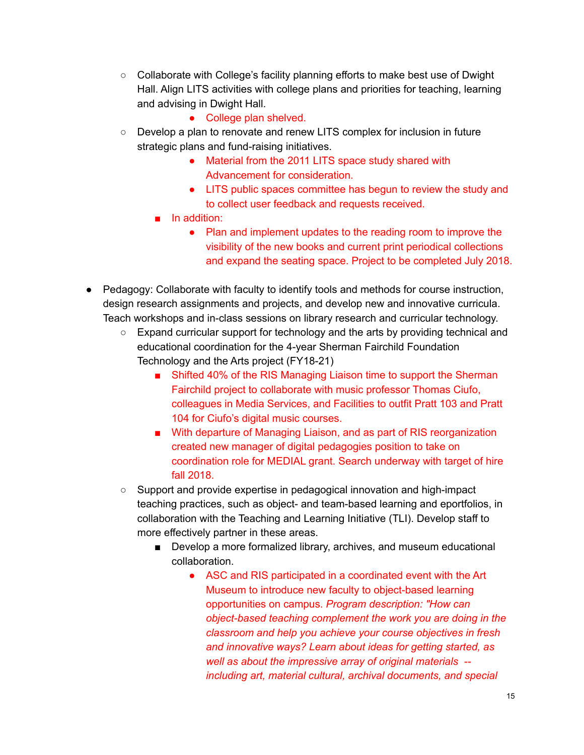- Collaborate with College's facility planning efforts to make best use of Dwight Hall. Align LITS activities with college plans and priorities for teaching, learning and advising in Dwight Hall.
	- College plan shelved.
- Develop a plan to renovate and renew LITS complex for inclusion in future strategic plans and fund-raising initiatives.
	- Material from the 2011 LITS space study shared with Advancement for consideration.
	- LITS public spaces committee has begun to review the study and to collect user feedback and requests received.
	- In addition:
		- Plan and implement updates to the reading room to improve the visibility of the new books and current print periodical collections and expand the seating space. Project to be completed July 2018.
- Pedagogy: Collaborate with faculty to identify tools and methods for course instruction, design research assignments and projects, and develop new and innovative curricula. Teach workshops and in-class sessions on library research and curricular technology.
	- Expand curricular support for technology and the arts by providing technical and educational coordination for the 4-year Sherman Fairchild Foundation Technology and the Arts project (FY18-21)
		- Shifted 40% of the RIS Managing Liaison time to support the Sherman Fairchild project to collaborate with music professor Thomas Ciufo, colleagues in Media Services, and Facilities to outfit Pratt 103 and Pratt 104 for Ciufo's digital music courses.
		- With departure of Managing Liaison, and as part of RIS reorganization created new manager of digital pedagogies position to take on coordination role for MEDIAL grant. Search underway with target of hire fall 2018.
	- Support and provide expertise in pedagogical innovation and high-impact teaching practices, such as object- and team-based learning and eportfolios, in collaboration with the Teaching and Learning Initiative (TLI). Develop staff to more effectively partner in these areas.
		- Develop a more formalized library, archives, and museum educational collaboration.
			- ASC and RIS participated in a coordinated event with the Art Museum to introduce new faculty to object-based learning opportunities on campus. *Program description: "How can object-based teaching complement the work you are doing in the classroom and help you achieve your course objectives in fresh and innovative ways? Learn about ideas for getting started, as well as about the impressive array of original materials - including art, material cultural, archival documents, and special*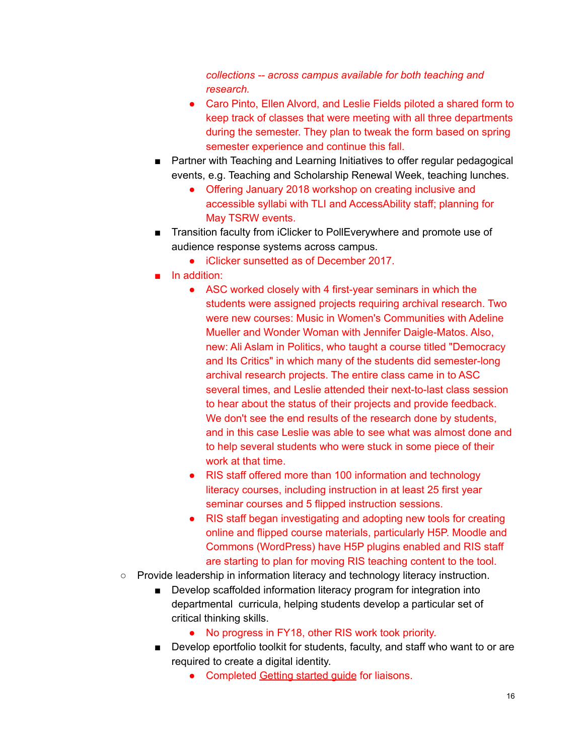*collections -- across campus available for both teaching and research.*

- Caro Pinto, Ellen Alvord, and Leslie Fields piloted a shared form to keep track of classes that were meeting with all three departments during the semester. They plan to tweak the form based on spring semester experience and continue this fall.
- Partner with Teaching and Learning Initiatives to offer regular pedagogical events, e.g. Teaching and Scholarship Renewal Week, teaching lunches.
	- Offering January 2018 workshop on creating inclusive and accessible syllabi with TLI and AccessAbility staff; planning for May TSRW events.
- Transition faculty from iClicker to PollEverywhere and promote use of audience response systems across campus.
	- iClicker sunsetted as of December 2017.
- In addition:
	- ASC worked closely with 4 first-year seminars in which the students were assigned projects requiring archival research. Two were new courses: Music in Women's Communities with Adeline Mueller and Wonder Woman with Jennifer Daigle-Matos. Also, new: Ali Aslam in Politics, who taught a course titled "Democracy and Its Critics" in which many of the students did semester-long archival research projects. The entire class came in to ASC several times, and Leslie attended their next-to-last class session to hear about the status of their projects and provide feedback. We don't see the end results of the research done by students, and in this case Leslie was able to see what was almost done and to help several students who were stuck in some piece of their work at that time.
	- RIS staff offered more than 100 information and technology literacy courses, including instruction in at least 25 first year seminar courses and 5 flipped instruction sessions.
	- RIS staff began investigating and adopting new tools for creating online and flipped course materials, particularly H5P. Moodle and Commons (WordPress) have H5P plugins enabled and RIS staff are starting to plan for moving RIS teaching content to the tool.
- Provide leadership in information literacy and technology literacy instruction.
	- Develop scaffolded information literacy program for integration into departmental curricula, helping students develop a particular set of critical thinking skills.
		- No progress in FY18, other RIS work took priority.
	- Develop eportfolio toolkit for students, faculty, and staff who want to or are required to create a digital identity.
		- Completed [Getting](https://docs.google.com/document/d/1cBXGYOjYPPSYZ6IdLSjabATidUoCcRM6PXWg1X64mts/edit?usp=sharing) started guide for liaisons.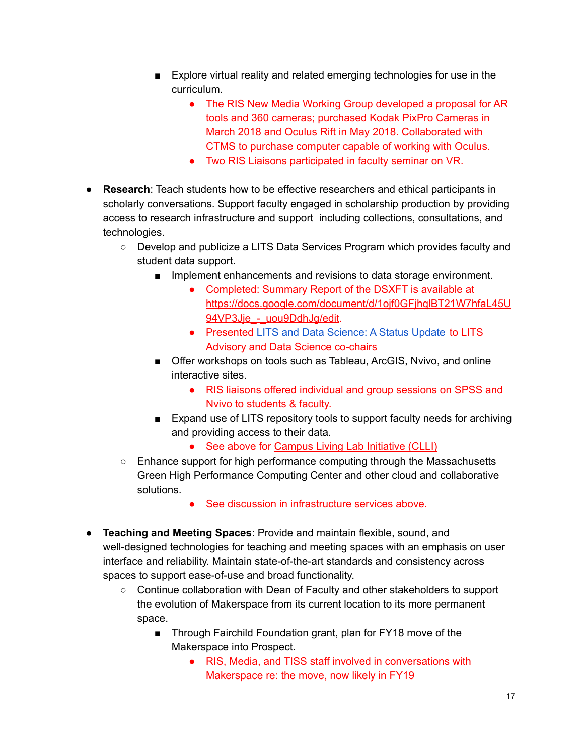- Explore virtual reality and related emerging technologies for use in the curriculum.
	- The RIS New Media Working Group developed a proposal for AR tools and 360 cameras; purchased Kodak PixPro Cameras in March 2018 and Oculus Rift in May 2018. Collaborated with CTMS to purchase computer capable of working with Oculus.
	- Two RIS Liaisons participated in faculty seminar on VR.
- **Research**: Teach students how to be effective researchers and ethical participants in scholarly conversations. Support faculty engaged in scholarship production by providing access to research infrastructure and support including collections, consultations, and technologies.
	- Develop and publicize a LITS Data Services Program which provides faculty and student data support.
		- Implement enhancements and revisions to data storage environment.
			- Completed: Summary Report of the DSXFT is available at [https://docs.google.com/document/d/1ojf0GFjhqlBT21W7hfaL45U](https://docs.google.com/document/d/1ojf0GFjhqlBT21W7hfaL45U94VP3Jje_-_uou9DdhJg/edit) 94VP3Jje - uou9DdhJq/edit.
			- Presented LITS and Data [Science:](https://docs.google.com/presentation/d/1gmePBTm7bCC23FSSswBguw5gA7LdZDc0f9LTzTqFo-U/edit#slide=id.g2739cac9d6_0_84) A Status Update to LITS Advisory and Data Science co-chairs
		- Offer workshops on tools such as Tableau, ArcGIS, Nvivo, and online interactive sites.
			- RIS liaisons offered individual and group sessions on SPSS and Nvivo to students & faculty.
		- Expand use of LITS repository tools to support faculty needs for archiving and providing access to their data.
			- See above for [Campus](https://www.mtholyoke.edu/sustainability/campus-living-laboratory-initiative) Living Lab Initiative (CLLI)
	- Enhance support for high performance computing through the Massachusetts Green High Performance Computing Center and other cloud and collaborative solutions.
		- See discussion in infrastructure services above.
- **Teaching and Meeting Spaces**: Provide and maintain flexible, sound, and well-designed technologies for teaching and meeting spaces with an emphasis on user interface and reliability. Maintain state-of-the-art standards and consistency across spaces to support ease-of-use and broad functionality.
	- Continue collaboration with Dean of Faculty and other stakeholders to support the evolution of Makerspace from its current location to its more permanent space.
		- Through Fairchild Foundation grant, plan for FY18 move of the Makerspace into Prospect.
			- RIS, Media, and TISS staff involved in conversations with Makerspace re: the move, now likely in FY19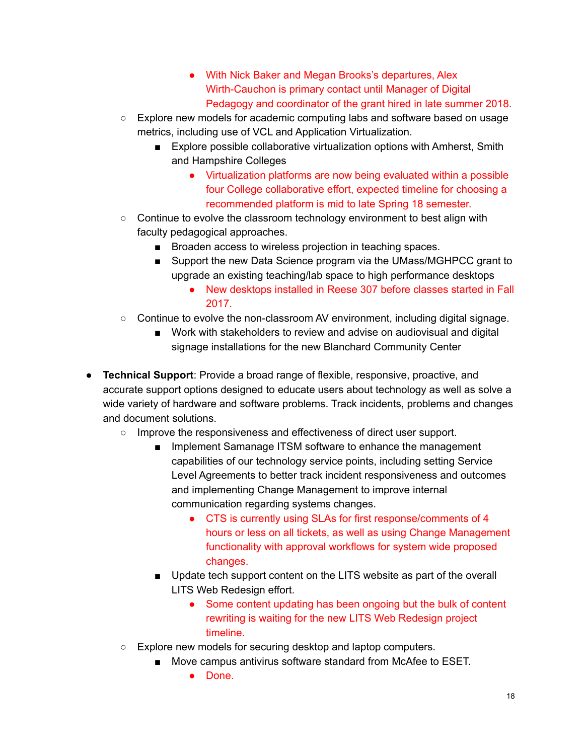- With Nick Baker and Megan Brooks's departures, Alex Wirth-Cauchon is primary contact until Manager of Digital Pedagogy and coordinator of the grant hired in late summer 2018.
- Explore new models for academic computing labs and software based on usage metrics, including use of VCL and Application Virtualization.
	- Explore possible collaborative virtualization options with Amherst, Smith and Hampshire Colleges
		- Virtualization platforms are now being evaluated within a possible four College collaborative effort, expected timeline for choosing a recommended platform is mid to late Spring 18 semester.
- $\circ$  Continue to evolve the classroom technology environment to best align with faculty pedagogical approaches.
	- Broaden access to wireless projection in teaching spaces.
	- Support the new Data Science program via the UMass/MGHPCC grant to upgrade an existing teaching/lab space to high performance desktops
		- New desktops installed in Reese 307 before classes started in Fall 2017.
- $\circ$  Continue to evolve the non-classroom AV environment, including digital signage.
	- Work with stakeholders to review and advise on audiovisual and digital signage installations for the new Blanchard Community Center
- **Technical Support**: Provide a broad range of flexible, responsive, proactive, and accurate support options designed to educate users about technology as well as solve a wide variety of hardware and software problems. Track incidents, problems and changes and document solutions.
	- Improve the responsiveness and effectiveness of direct user support.
		- Implement Samanage ITSM software to enhance the management capabilities of our technology service points, including setting Service Level Agreements to better track incident responsiveness and outcomes and implementing Change Management to improve internal communication regarding systems changes.
			- CTS is currently using SLAs for first response/comments of 4 hours or less on all tickets, as well as using Change Management functionality with approval workflows for system wide proposed changes.
		- Update tech support content on the LITS website as part of the overall LITS Web Redesign effort.
			- Some content updating has been ongoing but the bulk of content rewriting is waiting for the new LITS Web Redesign project timeline.
	- Explore new models for securing desktop and laptop computers.
		- Move campus antivirus software standard from McAfee to ESET.
			- Done.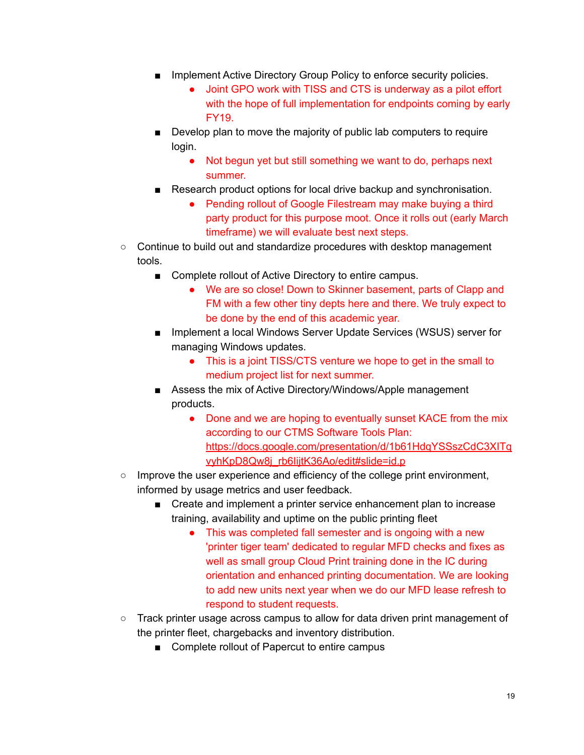- Implement Active Directory Group Policy to enforce security policies.
	- Joint GPO work with TISS and CTS is underway as a pilot effort with the hope of full implementation for endpoints coming by early FY19.
- Develop plan to move the majority of public lab computers to require login.
	- Not begun yet but still something we want to do, perhaps next summer.
- Research product options for local drive backup and synchronisation.
	- Pending rollout of Google Filestream may make buying a third party product for this purpose moot. Once it rolls out (early March timeframe) we will evaluate best next steps.
- Continue to build out and standardize procedures with desktop management tools.
	- Complete rollout of Active Directory to entire campus.
		- We are so close! Down to Skinner basement, parts of Clapp and FM with a few other tiny depts here and there. We truly expect to be done by the end of this academic year.
	- Implement a local Windows Server Update Services (WSUS) server for managing Windows updates.
		- This is a joint TISS/CTS venture we hope to get in the small to medium project list for next summer.
	- Assess the mix of Active Directory/Windows/Apple management products.
		- Done and we are hoping to eventually sunset KACE from the mix according to our CTMS Software Tools Plan: [https://docs.google.com/presentation/d/1b61HdqYSSszCdC3XITq](https://docs.google.com/presentation/d/1b61HdqYSSszCdC3XITqvyhKpD8Qw8j_rb6IijtK36Ao/edit#slide=id.p) vyhKpD8Qw8j\_rb6lijtK36Ao/edit#slide=id.p
- $\circ$  Improve the user experience and efficiency of the college print environment, informed by usage metrics and user feedback.
	- Create and implement a printer service enhancement plan to increase training, availability and uptime on the public printing fleet
		- This was completed fall semester and is ongoing with a new 'printer tiger team' dedicated to regular MFD checks and fixes as well as small group Cloud Print training done in the IC during orientation and enhanced printing documentation. We are looking to add new units next year when we do our MFD lease refresh to respond to student requests.
- Track printer usage across campus to allow for data driven print management of the printer fleet, chargebacks and inventory distribution.
	- Complete rollout of Papercut to entire campus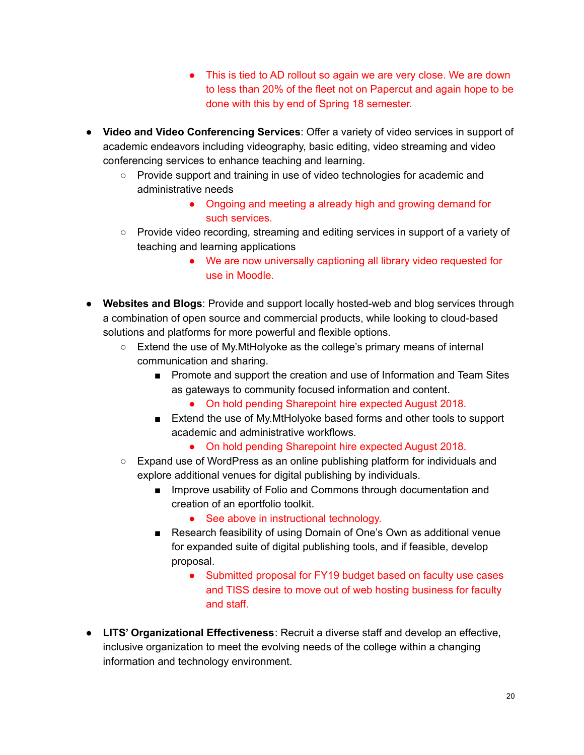- This is tied to AD rollout so again we are very close. We are down to less than 20% of the fleet not on Papercut and again hope to be done with this by end of Spring 18 semester.
- **Video and Video Conferencing Services**: Offer a variety of video services in support of academic endeavors including videography, basic editing, video streaming and video conferencing services to enhance teaching and learning.
	- Provide support and training in use of video technologies for academic and administrative needs
		- Ongoing and meeting a already high and growing demand for such services.
	- Provide video recording, streaming and editing services in support of a variety of teaching and learning applications
		- We are now universally captioning all library video requested for use in Moodle.
- **Websites and Blogs**: Provide and support locally hosted-web and blog services through a combination of open source and commercial products, while looking to cloud-based solutions and platforms for more powerful and flexible options.
	- Extend the use of My. MtHolyoke as the college's primary means of internal communication and sharing.
		- Promote and support the creation and use of Information and Team Sites as gateways to community focused information and content.
			- On hold pending Sharepoint hire expected August 2018.
		- Extend the use of My. MtHolyoke based forms and other tools to support academic and administrative workflows.
			- On hold pending Sharepoint hire expected August 2018.
	- Expand use of WordPress as an online publishing platform for individuals and explore additional venues for digital publishing by individuals.
		- Improve usability of Folio and Commons through documentation and creation of an eportfolio toolkit.
			- See above in instructional technology.
		- Research feasibility of using Domain of One's Own as additional venue for expanded suite of digital publishing tools, and if feasible, develop proposal.
			- Submitted proposal for FY19 budget based on faculty use cases and TISS desire to move out of web hosting business for faculty and staff.
- **LITS' Organizational Effectiveness**: Recruit a diverse staff and develop an effective, inclusive organization to meet the evolving needs of the college within a changing information and technology environment.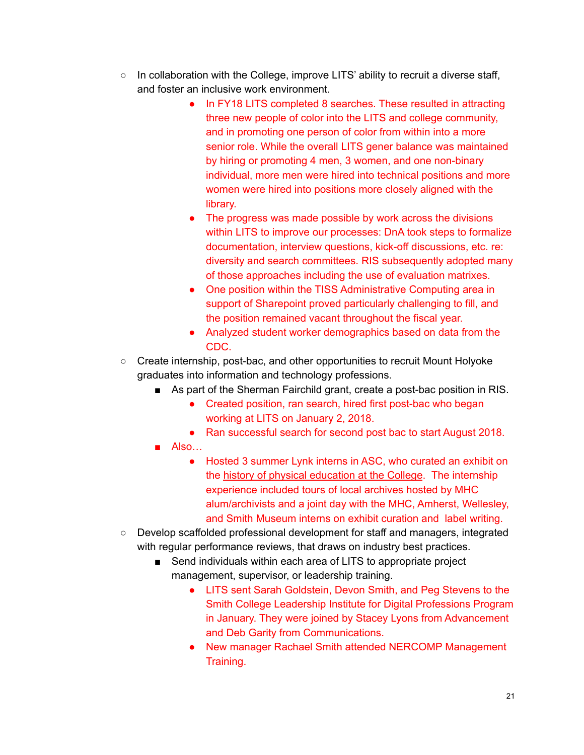- $\circ$  In collaboration with the College, improve LITS' ability to recruit a diverse staff, and foster an inclusive work environment.
	- In FY18 LITS completed 8 searches. These resulted in attracting three new people of color into the LITS and college community, and in promoting one person of color from within into a more senior role. While the overall LITS gener balance was maintained by hiring or promoting 4 men, 3 women, and one non-binary individual, more men were hired into technical positions and more women were hired into positions more closely aligned with the library.
	- The progress was made possible by work across the divisions within LITS to improve our processes: DnA took steps to formalize documentation, interview questions, kick-off discussions, etc. re: diversity and search committees. RIS subsequently adopted many of those approaches including the use of evaluation matrixes.
	- One position within the TISS Administrative Computing area in support of Sharepoint proved particularly challenging to fill, and the position remained vacant throughout the fiscal year.
	- Analyzed student worker demographics based on data from the CDC.
- Create internship, post-bac, and other opportunities to recruit Mount Holyoke graduates into information and technology professions.
	- As part of the Sherman Fairchild grant, create a post-bac position in RIS.
		- Created position, ran search, hired first post-bac who began working at LITS on January 2, 2018.
		- Ran successful search for second post bac to start August 2018.
	- Also…
		- Hosted 3 summer Lynk interns in ASC, who curated an exhibit on the history of physical [education](https://www.mtholyoke.edu/media/mile-long-hikes-olympics) at the College. The internship experience included tours of local archives hosted by MHC alum/archivists and a joint day with the MHC, Amherst, Wellesley, and Smith Museum interns on exhibit curation and label writing.
- Develop scaffolded professional development for staff and managers, integrated with regular performance reviews, that draws on industry best practices.
	- Send individuals within each area of LITS to appropriate project management, supervisor, or leadership training.
		- LITS sent Sarah Goldstein, Devon Smith, and Peg Stevens to the Smith College Leadership Institute for Digital Professions Program in January. They were joined by Stacey Lyons from Advancement and Deb Garity from Communications.
		- New manager Rachael Smith attended NERCOMP Management Training.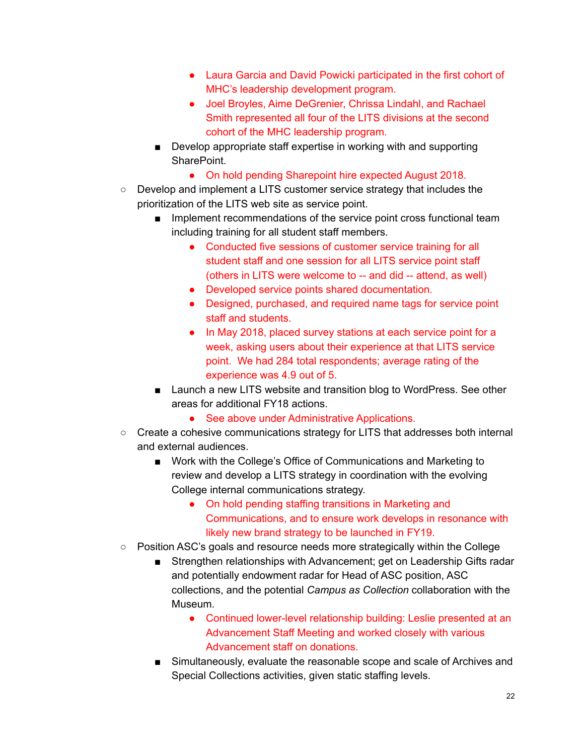- Laura Garcia and David Powicki participated in the first cohort of MHC's leadership development program.
- Joel Broyles, Aime DeGrenier, Chrissa Lindahl, and Rachael Smith represented all four of the LITS divisions at the second cohort of the MHC leadership program.
- Develop appropriate staff expertise in working with and supporting SharePoint.
	- On hold pending Sharepoint hire expected August 2018.
- Develop and implement a LITS customer service strategy that includes the prioritization of the LITS web site as service point.
	- Implement recommendations of the service point cross functional team including training for all student staff members.
		- Conducted five sessions of customer service training for all student staff and one session for all LITS service point staff (others in LITS were welcome to -- and did -- attend, as well)
		- Developed service points shared documentation.
		- Designed, purchased, and required name tags for service point staff and students.
		- In May 2018, placed survey stations at each service point for a week, asking users about their experience at that LITS service point. We had 284 total respondents; average rating of the experience was 4.9 out of 5.
	- Launch a new LITS website and transition blog to WordPress. See other areas for additional FY18 actions.
		- See above under Administrative Applications.
- Create a cohesive communications strategy for LITS that addresses both internal and external audiences.
	- Work with the College's Office of Communications and Marketing to review and develop a LITS strategy in coordination with the evolving College internal communications strategy.
		- On hold pending staffing transitions in Marketing and Communications, and to ensure work develops in resonance with likely new brand strategy to be launched in FY19.
- Position ASC's goals and resource needs more strategically within the College
	- Strengthen relationships with Advancement; get on Leadership Gifts radar and potentially endowment radar for Head of ASC position, ASC collections, and the potential *Campus as Collection* collaboration with the Museum.
		- Continued lower-level relationship building: Leslie presented at an Advancement Staff Meeting and worked closely with various Advancement staff on donations.
	- Simultaneously, evaluate the reasonable scope and scale of Archives and Special Collections activities, given static staffing levels.